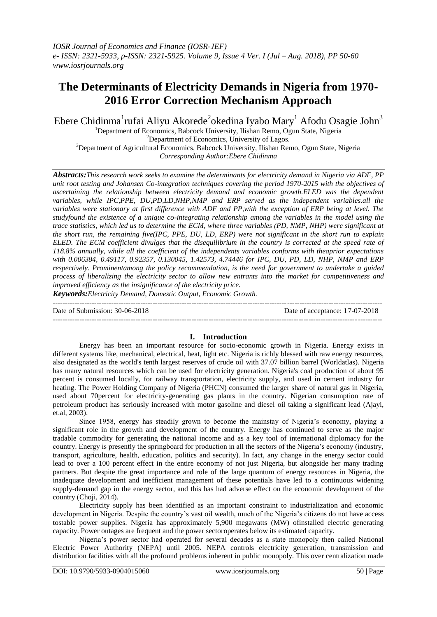# **The Determinants of Electricity Demands in Nigeria from 1970- 2016 Error Correction Mechanism Approach**

Ebere Chidinma<sup>1</sup>rufai Aliyu Akorede<sup>2</sup>okedina Iyabo Mary<sup>1</sup> Afodu Osagie John<sup>3</sup>

<sup>1</sup>Department of Economics, Babcock University, Ilishan Remo, Ogun State, Nigeria <sup>2</sup>Department of Economics, University of Lagos. <sup>3</sup>Department of Agricultural Economics, Babcock University, Ilishan Remo, Ogun State, Nigeria *Corresponding Author:Ebere Chidinma*

*Abstracts:This research work seeks to examine the determinants for electricity demand in Nigeria via ADF, PP unit root testing and Johansen Co-integration techniques covering the period 1970-2015 with the objectives of ascertaining the relationship between electricity demand and economic growth.ELED was the dependent variables, while IPC,PPE, DU,PD,LD,NHP,NMP and ERP served as the independent variables.all the variables were stationary at first difference with ADF and PP,with the exception of ERP being at level. The studyfound the existence of a unique co-integrating relationship among the variables in the model using the trace statistics, which led us to determine the ECM, where three variables (PD, NMP, NHP) were significant at the short run, the remaining five(IPC, PPE, DU, LD, ERP) were not significant in the short run to explain ELED. The ECM coefficient divulges that the disequilibrium in the country is corrected at the speed rate of 118.8% annually, while all the coefficient of the independents variables conforms with theaprior expectations with 0.006384, 0.49117, 0.92357, 0.130045, 1.42573, 4.74446 for IPC, DU, PD, LD, NHP, NMP and ERP respectively. Prominentamong the policy recommendation, is the need for government to undertake a guided process of liberalizing the electricity sector to allow new entrants into the market for competitiveness and improved efficiency as the insignificance of the electricity price.*

*Keywords:Electricity Demand, Domestic Output, Economic Growth.*

--------------------------------------------------------------------------------------------------------------------------------------- Date of Submission: 30-06-2018 Date of acceptance: 17-07-2018 ---------------------------------------------------------------------------------------------------------------------------------------

# **I. Introduction**

Energy has been an important resource for socio-economic growth in Nigeria. Energy exists in different systems like, mechanical, electrical, heat, light etc. Nigeria is richly blessed with raw energy resources, also designated as the world's tenth largest reserves of crude oil with 37.07 billion barrel (Worldatlas). Nigeria has many natural resources which can be used for electricity generation. Nigeria's coal production of about 95 percent is consumed locally, for railway transportation, electricity supply, and used in cement industry for heating. The Power Holding Company of Nigeria (PHCN) consumed the larger share of natural gas in Nigeria, used about 70percent for electricity-generating gas plants in the country. Nigerian consumption rate of petroleum product has seriously increased with motor gasoline and diesel oil taking a significant lead (Ajayi, et.al, 2003).

Since 1958, energy has steadily grown to become the mainstay of Nigeria's economy, playing a significant role in the growth and development of the country. Energy has continued to serve as the major tradable commodity for generating the national income and as a key tool of international diplomacy for the country. Energy is presently the springboard for production in all the sectors of the Nigeria's economy (industry, transport, agriculture, health, education, politics and security). In fact, any change in the energy sector could lead to over a 100 percent effect in the entire economy of not just Nigeria, but alongside her many trading partners. But despite the great importance and role of the large quantum of energy resources in Nigeria, the inadequate development and inefficient management of these potentials have led to a continuous widening supply-demand gap in the energy sector, and this has had adverse effect on the economic development of the country (Choji, 2014).

Electricity supply has been identified as an important constraint to industrialization and economic development in Nigeria. Despite the country's vast oil wealth, much of the Nigeria's citizens do not have access tostable power supplies. Nigeria has approximately 5,900 megawatts (MW) ofinstalled electric generating capacity. Power outages are frequent and the power sectoroperates below its estimated capacity.

Nigeria's power sector had operated for several decades as a state monopoly then called National Electric Power Authority (NEPA) until 2005. NEPA controls electricity generation, transmission and distribution facilities with all the profound problems inherent in public monopoly. This over centralization made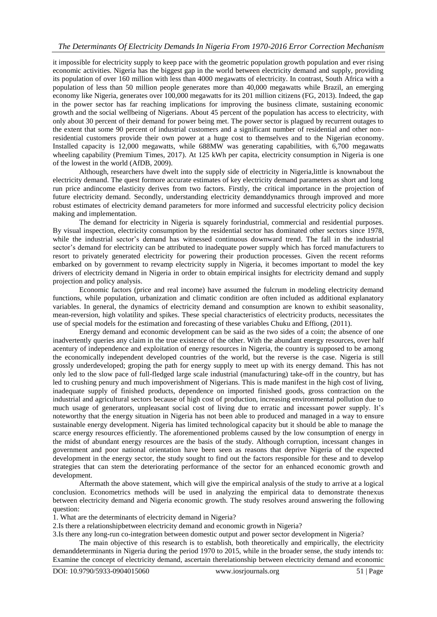it impossible for electricity supply to keep pace with the geometric population growth population and ever rising economic activities. Nigeria has the biggest gap in the world between electricity demand and supply, providing its population of over 160 million with less than 4000 megawatts of electricity. In contrast, South Africa with a population of less than 50 million people generates more than 40,000 megawatts while Brazil, an emerging economy like Nigeria, generates over 100,000 megawatts for its 201 million citizens (FG, 2013). Indeed, the gap in the power sector has far reaching implications for improving the business climate, sustaining economic growth and the social wellbeing of Nigerians. About 45 percent of the population has access to electricity, with only about 30 percent of their demand for power being met. The power sector is plagued by recurrent outages to the extent that some 90 percent of industrial customers and a significant number of residential and other nonresidential customers provide their own power at a huge cost to themselves and to the Nigerian economy. Installed capacity is 12,000 megawatts, while 688MW was generating capabilities, with 6,700 megawatts wheeling capability (Premium Times, 2017). At 125 kWh per capita, electricity consumption in Nigeria is one of the lowest in the world (AfDB, 2009).

Although, researchers have dwelt into the supply side of electricity in Nigeria,little is knownabout the electricity demand. The quest formore accurate estimates of key electricity demand parameters as short and long run price andincome elasticity derives from two factors. Firstly, the critical importance in the projection of future electricity demand. Secondly, understanding electricity demanddynamics through improved and more robust estimates of electricity demand parameters for more informed and successful electricity policy decision making and implementation.

The demand for electricity in Nigeria is squarely forindustrial, commercial and residential purposes. By visual inspection, electricity consumption by the residential sector has dominated other sectors since 1978, while the industrial sector's demand has witnessed continuous downward trend. The fall in the industrial sector's demand for electricity can be attributed to inadequate power supply which has forced manufacturers to resort to privately generated electricity for powering their production processes. Given the recent reforms embarked on by government to revamp electricity supply in Nigeria, it becomes important to model the key drivers of electricity demand in Nigeria in order to obtain empirical insights for electricity demand and supply projection and policy analysis.

Economic factors (price and real income) have assumed the fulcrum in modeling electricity demand functions, while population, urbanization and climatic condition are often included as additional explanatory variables. In general, the dynamics of electricity demand and consumption are known to exhibit seasonality, mean-reversion, high volatility and spikes. These special characteristics of electricity products, necessitates the use of special models for the estimation and forecasting of these variables Chuku and Effiong, (2011).

Energy demand and economic development can be said as the two sides of a coin; the absence of one inadvertently queries any claim in the true existence of the other. With the abundant energy resources, over half acentury of independence and exploitation of energy resources in Nigeria, the country is supposed to be among the economically independent developed countries of the world, but the reverse is the case. Nigeria is still grossly underdeveloped; groping the path for energy supply to meet up with its energy demand. This has not only led to the slow pace of full-fledged large scale industrial (manufacturing) take-off in the country, but has led to crushing penury and much impoverishment of Nigerians. This is made manifest in the high cost of living, inadequate supply of finished products, dependence on imported finished goods, gross contraction on the industrial and agricultural sectors because of high cost of production, increasing environmental pollution due to much usage of generators, unpleasant social cost of living due to erratic and incessant power supply. It's noteworthy that the energy situation in Nigeria has not been able to produced and managed in a way to ensure sustainable energy development. Nigeria has limited technological capacity but it should be able to manage the scarce energy resources efficiently. The aforementioned problems caused by the low consumption of energy in the midst of abundant energy resources are the basis of the study. Although corruption, incessant changes in government and poor national orientation have been seen as reasons that deprive Nigeria of the expected development in the energy sector, the study sought to find out the factors responsible for these and to develop strategies that can stem the deteriorating performance of the sector for an enhanced economic growth and development.

Aftermath the above statement, which will give the empirical analysis of the study to arrive at a logical conclusion. Econometrics methods will be used in analyzing the empirical data to demonstrate thenexus between electricity demand and Nigeria economic growth. The study resolves around answering the following question:

1. What are the determinants of electricity demand in Nigeria?

2.Is there a relationshipbetween electricity demand and economic growth in Nigeria?

3.Is there any long-run co-integration between domestic output and power sector development in Nigeria?

The main objective of this research is to establish, both theoretically and empirically, the electricity demanddeterminants in Nigeria during the period 1970 to 2015, while in the broader sense, the study intends to: Examine the concept of electricity demand, ascertain therelationship between electricity demand and economic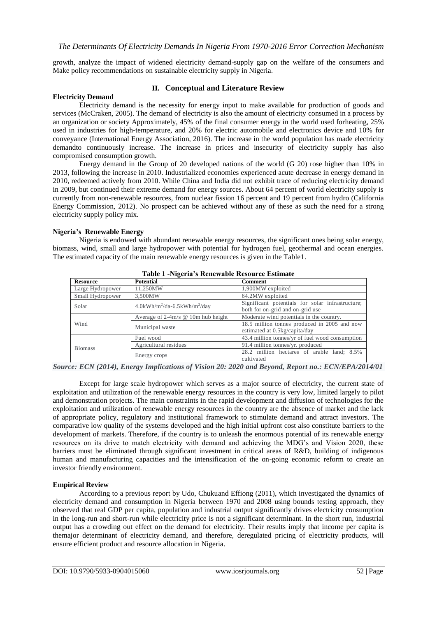growth, analyze the impact of widened electricity demand-supply gap on the welfare of the consumers and Make policy recommendations on sustainable electricity supply in Nigeria.

## **II. Conceptual and Literature Review**

### **Electricity Demand**

Electricity demand is the necessity for energy input to make available for production of goods and services (McCraken, 2005). The demand of electricity is also the amount of electricity consumed in a process by an organization or society Approximately, 45% of the final consumer energy in the world used forheating, 25% used in industries for high-temperature, and 20% for electric automobile and electronics device and 10% for conveyance (International Energy Association, 2016). The increase in the world population has made electricity demandto continuously increase. The increase in prices and insecurity of electricity supply has also compromised consumption growth.

Energy demand in the Group of 20 developed nations of the world (G 20) rose higher than 10% in 2013, following the increase in 2010. Industrialized economies experienced acute decrease in energy demand in 2010, redeemed actively from 2010. While China and India did not exhibit trace of reducing electricity demand in 2009, but continued their extreme demand for energy sources. About 64 percent of world electricity supply is currently from non-renewable resources, from nuclear fission 16 percent and 19 percent from hydro (California Energy Commission, 2012). No prospect can be achieved without any of these as such the need for a strong electricity supply policy mix.

### **Nigeria's Renewable Energy**

Nigeria is endowed with abundant renewable energy resources, the significant ones being solar energy, biomass, wind, small and large hydropower with potential for hydrogen fuel, geothermal and ocean energies. The estimated capacity of the main renewable energy resources is given in the Table1.

| Table 1 -vigena 5 Reliewable Resource Esumate |                                                         |                                                                                      |  |  |  |
|-----------------------------------------------|---------------------------------------------------------|--------------------------------------------------------------------------------------|--|--|--|
| <b>Resource</b>                               | <b>Potential</b>                                        | Comment                                                                              |  |  |  |
| Large Hydropower                              | 11.250MW                                                | 1,900MW exploited                                                                    |  |  |  |
| Small Hydropower                              | 3,500MW                                                 | 64.2MW exploited                                                                     |  |  |  |
| Solar                                         | $4.0$ kWh/m <sup>2</sup> /da-6.5kWh/m <sup>2</sup> /day | Significant potentials for solar infrastructure;<br>both for on-grid and on-grid use |  |  |  |
|                                               | Average of $2-4m/s$ @ 10m hub height                    | Moderate wind potentials in the country.                                             |  |  |  |
| Wind                                          | Municipal waste                                         | 18.5 million tonnes produced in 2005 and now<br>estimated at 0.5kg/capita/day        |  |  |  |
|                                               | Fuel wood                                               | 43.4 million tonnes/yr of fuel wood consumption                                      |  |  |  |
| <b>Biomass</b>                                | Agricultural residues                                   | 91.4 million tonnes/yr. produced                                                     |  |  |  |
|                                               | Energy crops                                            | 28.2 million hectares of arable land; 8.5%<br>cultivated                             |  |  |  |

**Table 1 -Nigeria's Renewable Resource Estimate**

*Source: ECN (2014), Energy Implications of Vision 20: 2020 and Beyond, Report no.: ECN/EPA/2014/01*

Except for large scale hydropower which serves as a major source of electricity, the current state of exploitation and utilization of the renewable energy resources in the country is very low, limited largely to pilot and demonstration projects. The main constraints in the rapid development and diffusion of technologies for the exploitation and utilization of renewable energy resources in the country are the absence of market and the lack of appropriate policy, regulatory and institutional framework to stimulate demand and attract investors. The comparative low quality of the systems developed and the high initial upfront cost also constitute barriers to the development of markets. Therefore, if the country is to unleash the enormous potential of its renewable energy resources on its drive to match electricity with demand and achieving the MDG's and Vision 2020, these barriers must be eliminated through significant investment in critical areas of R&D, building of indigenous human and manufacturing capacities and the intensification of the on-going economic reform to create an investor friendly environment.

### **Empirical Review**

According to a previous report by Udo, Chukuand Effiong (2011), which investigated the dynamics of electricity demand and consumption in Nigeria between 1970 and 2008 using bounds testing approach, they observed that real GDP per capita, population and industrial output significantly drives electricity consumption in the long-run and short-run while electricity price is not a significant determinant. In the short run, industrial output has a crowding out effect on the demand for electricity. Their results imply that income per capita is themajor determinant of electricity demand, and therefore, deregulated pricing of electricity products, will ensure efficient product and resource allocation in Nigeria.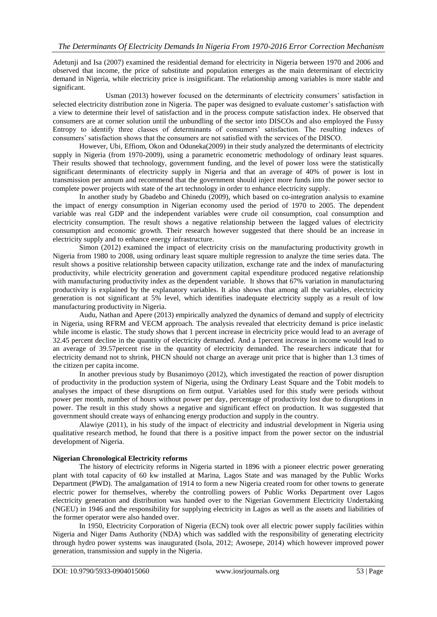Adetunji and Isa (2007) examined the residential demand for electricity in Nigeria between 1970 and 2006 and observed that income, the price of substitute and population emerges as the main determinant of electricity demand in Nigeria, while electricity price is insignificant. The relationship among variables is more stable and significant.

Usman (2013) however focused on the determinants of electricity consumers' satisfaction in selected electricity distribution zone in Nigeria. The paper was designed to evaluate customer's satisfaction with a view to determine their level of satisfaction and in the process compute satisfaction index. He observed that consumers are at corner solution until the unbundling of the sector into DISCOs and also employed the Fussy Entropy to identify three classes of determinants of consumers' satisfaction. The resulting indexes of consumers' satisfaction shows that the consumers are not satisfied with the services of the DISCO.

However, Ubi, Effiom, Okon and Oduneka(2009) in their study analyzed the determinants of electricity supply in Nigeria (from 1970-2009), using a parametric econometric methodology of ordinary least squares. Their results showed that technology, government funding, and the level of power loss were the statistically significant determinants of electricity supply in Nigeria and that an average of 40% of power is lost in transmission per annum and recommend that the government should inject more funds into the power sector to complete power projects with state of the art technology in order to enhance electricity supply.

In another study by Gbadebo and Chinedu (2009), which based on co-integration analysis to examine the impact of energy consumption in Nigerian economy used the period of 1970 to 2005. The dependent variable was real GDP and the independent variables were crude oil consumption, coal consumption and electricity consumption. The result shows a negative relationship between the lagged values of electricity consumption and economic growth. Their research however suggested that there should be an increase in electricity supply and to enhance energy infrastructure.

Simon (2012) examined the impact of electricity crisis on the manufacturing productivity growth in Nigeria from 1980 to 2008, using ordinary least square multiple regression to analyze the time series data. The result shows a positive relationship between capacity utilization, exchange rate and the index of manufacturing productivity, while electricity generation and government capital expenditure produced negative relationship with manufacturing productivity index as the dependent variable. It shows that 67% variation in manufacturing productivity is explained by the explanatory variables. It also shows that among all the variables, electricity generation is not significant at 5% level, which identifies inadequate electricity supply as a result of low manufacturing productivity in Nigeria.

Audu, Nathan and Apere (2013) empirically analyzed the dynamics of demand and supply of electricity in Nigeria, using RFRM and VECM approach. The analysis revealed that electricity demand is price inelastic while income is elastic. The study shows that 1 percent increase in electricity price would lead to an average of 32.45 percent decline in the quantity of electricity demanded. And a 1percent increase in income would lead to an average of 39.57percent rise in the quantity of electricity demanded. The researchers indicate that for electricity demand not to shrink, PHCN should not charge an average unit price that is higher than 1.3 times of the citizen per capita income.

In another previous study by Busanimoyo (2012), which investigated the reaction of power disruption of productivity in the production system of Nigeria, using the Ordinary Least Square and the Tobit models to analyses the impact of these disruptions on firm output. Variables used for this study were periods without power per month, number of hours without power per day, percentage of productivity lost due to disruptions in power. The result in this study shows a negative and significant effect on production. It was suggested that government should create ways of enhancing energy production and supply in the country.

Alawiye (2011), in his study of the impact of electricity and industrial development in Nigeria using qualitative research method, he found that there is a positive impact from the power sector on the industrial development of Nigeria.

## **Nigerian Chronological Electricity reforms**

The history of electricity reforms in Nigeria started in 1896 with a pioneer electric power generating plant with total capacity of 60 kw installed at Marina, Lagos State and was managed by the Public Works Department (PWD). The amalgamation of 1914 to form a new Nigeria created room for other towns to generate electric power for themselves, whereby the controlling powers of Public Works Department over Lagos electricity generation and distribution was handed over to the Nigerian Government Electricity Undertaking (NGEU) in 1946 and the responsibility for supplying electricity in Lagos as well as the assets and liabilities of the former operator were also handed over.

In 1950, Electricity Corporation of Nigeria (ECN) took over all electric power supply facilities within Nigeria and Niger Dams Authority (NDA) which was saddled with the responsibility of generating electricity through hydro power systems was inaugurated (Isola, 2012; Awosepe, 2014) which however improved power generation, transmission and supply in the Nigeria.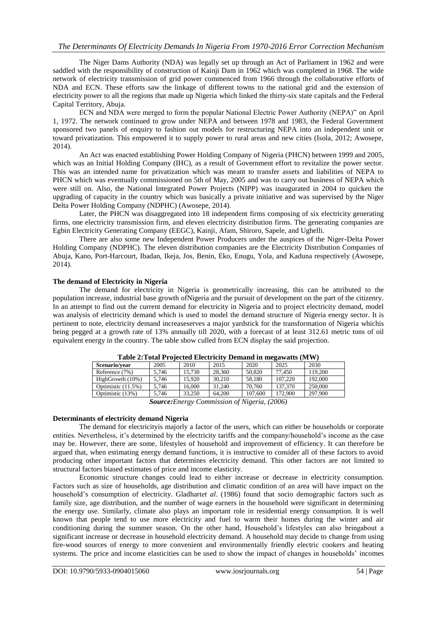# *The Determinants Of Electricity Demands In Nigeria From 1970-2016 Error Correction Mechanism*

The Niger Dams Authority (NDA) was legally set up through an Act of Parliament in 1962 and were saddled with the responsibility of construction of Kainji Dam in 1962 which was completed in 1968. The wide network of electricity transmission of grid power commenced from 1966 through the collaborative efforts of NDA and ECN. These efforts saw the linkage of different towns to the national grid and the extension of electricity power to all the regions that made up Nigeria which linked the thirty-six state capitals and the Federal Capital Territory, Abuja.

ECN and NDA were merged to form the popular National Electric Power Authority (NEPA)" on April 1, 1972. The network continued to grow under NEPA and between 1978 and 1983, the Federal Government sponsored two panels of enquiry to fashion out models for restructuring NEPA into an independent unit or toward privatization. This empowered it to supply power to rural areas and new cities (Isola, 2012; Awosepe, 2014).

An Act was enacted establishing Power Holding Company of Nigeria (PHCN) between 1999 and 2005, which was an Initial Holding Company (IHC), as a result of Government effort to revitalize the power sector. This was an intended name for privatization which was meant to transfer assets and liabilities of NEPA to PHCN which was eventually commissioned on 5th of May, 2005 and was to carry out business of NEPA which were still on. Also, the National Integrated Power Projects (NIPP) was inaugurated in 2004 to quicken the upgrading of capacity in the country which was basically a private initiative and was supervised by the Niger Delta Power Holding Company (NDPHC) (Awosepe, 2014).

Later, the PHCN was disaggregated into 18 independent firms composing of six electricity generating firms, one electricity transmission firm, and eleven electricity distribution firms. The generating companies are Egbin Electricity Generating Company (EEGC), Kainji, Afam, Shiroro, Sapele, and Ughelli.

There are also some new Independent Power Producers under the auspices of the Niger-Delta Power Holding Company (NDPHC). The eleven distribution companies are the Electricity Distribution Companies of Abuja, Kano, Port-Harcourt, Ibadan, Ikeja, Jos, Benin, Eko, Enugu, Yola, and Kaduna respectively (Awosepe, 2014).

### **The demand of Electricity in Nigeria**

The demand for electricity in Nigeria is geometrically increasing, this can be attributed to the population increase, industrial base growth ofNigeria and the pursuit of development on the part of the citizenry. In an attempt to find out the current demand for electricity in Nigeria and to project electricity demand, model was analysis of electricity demand which is used to model the demand structure of Nigeria energy sector. It is pertinent to note, electricity demand increaseserves a major yardstick for the transformation of Nigeria whichis being pegged at a growth rate of 13% annually till 2020, with a forecast of at least 312.61 metric tons of oil equivalent energy in the country. The table show culled from ECN display the said projection.

| $1000 - 1000 - 1000$ |                                    |        |        |                            |         |         |
|----------------------|------------------------------------|--------|--------|----------------------------|---------|---------|
| Scenario/vear        | 2005                               | 2010   | 2015   | 2020                       | 2025    | 2030    |
| Reference (7%)       | 5.746                              | 15.730 | 28.360 | 50.820                     | 77.450  | 119,200 |
| HighGrowth (10%)     | 5.746                              | 15.920 | 30.210 | 58.180                     | 107.220 | 192,000 |
| Optimistic (11.5%)   | 5.746                              | 16.000 | 31.240 | 70.760                     | 137,370 | 250,000 |
| Optimistic (13%)     | 5.746                              | 33.250 | 64.200 | 107,600                    | 172,900 | 297,900 |
|                      | $\sim$<br>$\overline{\phantom{a}}$ | $\sim$ |        | $\theta$ $\theta$ $\theta$ | (0.000) |         |

| Table 2: Total Projected Electricity Demand in megawatts (MW) |  |  |
|---------------------------------------------------------------|--|--|
|                                                               |  |  |

*Source:Energy Commission of Nigeria, (2006)*

### **Determinants of electricity demand Nigeria**

The demand for electricityis majorly a factor of the users, which can either be households or corporate entities. Nevertheless, it's determined by the electricity tariffs and the company/household's income as the case may be. However, there are some, lifestyles of household and improvement of efficiency. It can therefore be argued that, when estimating energy demand functions, it is instructive to consider all of these factors to avoid producing other important factors that determines electricity demand. This other factors are not limited to structural factors biased estimates of price and income elasticity.

Economic structure changes could lead to either increase or decrease in electricity consumption. Factors such as size of households, age distribution and climatic condition of an area will have impact on the household's consumption of electricity. Gladhart*et al*. (1986) found that socio demographic factors such as family size, age distribution, and the number of wage earners in the household were significant in determining the energy use. Similarly, climate also plays an important role in residential energy consumption. It is well known that people tend to use more electricity and fuel to warm their homes during the winter and air conditioning during the summer season. On the other hand, Household's lifestyles can also bringabout a significant increase or decrease in household electricity demand. A household may decide to change from using fire-wood sources of energy to more convenient and environmentally friendly electric cookers and heating systems. The price and income elasticities can be used to show the impact of changes in households' incomes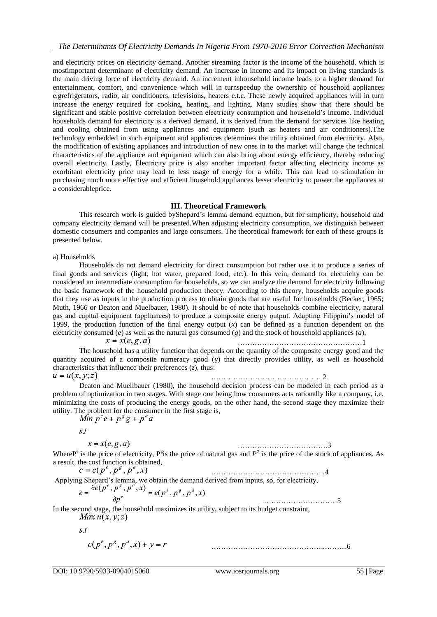and electricity prices on electricity demand. Another streaming factor is the income of the household, which is mostimportant determinant of electricity demand. An increase in income and its impact on living standards is the main driving force of electricity demand. An increment inhousehold income leads to a higher demand for entertainment, comfort, and convenience which will in turnspeedup the ownership of household appliances e.grefrigerators, radio, air conditioners, televisions, heaters e.t.c. These newly acquired appliances will in turn increase the energy required for cooking, heating, and lighting. Many studies show that there should be significant and stable positive correlation between electricity consumption and household's income. Individual households demand for electricity is a derived demand, it is derived from the demand for services like heating and cooling obtained from using appliances and equipment (such as heaters and air conditioners).The technology embedded in such equipment and appliances determines the utility obtained from electricity. Also, the modification of existing appliances and introduction of new ones in to the market will change the technical characteristics of the appliance and equipment which can also bring about energy efficiency, thereby reducing overall electricity. Lastly, Electricity price is also another important factor affecting electricity income as exorbitant electricity price may lead to less usage of energy for a while. This can lead to stimulation in purchasing much more effective and efficient household appliances lesser electricity to power the appliances at a considerableprice.

## **III. Theoretical Framework**

This research work is guided byShepard's lemma demand equation, but for simplicity, household and company electricity demand will be presented.When adjusting electricity consumption, we distinguish between domestic consumers and companies and large consumers. The theoretical framework for each of these groups is presented below.

a) Households

Households do not demand electricity for direct consumption but rather use it to produce a series of final goods and services (light, hot water, prepared food, etc.). In this vein, demand for electricity can be considered an intermediate consumption for households, so we can analyze the demand for electricity following the basic framework of the household production theory. According to this theory, households acquire goods that they use as inputs in the production process to obtain goods that are useful for households (Becker, 1965; Muth, 1966 or Deaton and Muelbauer, 1980). It should be of note that households combine electricity, natural gas and capital equipment (appliances) to produce a composite energy output. Adapting Filippini's model of 1999, the production function of the final energy output  $(x)$  can be defined as a function dependent on the electricity consumed (*e*) as well as the natural gas consumed (*g*) and the stock of household appliances (*a*),

 $x = x(e, g, a)$ ……………………………………………1

The household has a utility function that depends on the quantity of the composite energy good and the quantity acquired of a composite numeracy good (*y*) that directly provides utility, as well as household characteristics that influence their preferences (*z*), thus:  $u = u(x, y; z)$ ……………………………………….2

Deaton and Muellbauer (1980), the household decision process can be modeled in each period as a problem of optimization in two stages. With stage one being how consumers acts rationally like a company, i.e. minimizing the costs of producing the energy goods, on the other hand, the second stage they maximize their utility. The problem for the consumer in the first stage is,<br>  $Min p^e e + p^g g + p^a a$ 

 $s.t$ 

$$
x = x(e, g, a)
$$

……………………………….3

Where  $P^e$  is the price of electricity,  $P^g$  is the price of natural gas and  $P^a$  is the price of the stock of appliances. As a result, the cost function is obtained,<br>  $c = c(p^e, p^g, p^a, x)$ 

………………………………………..4 Applying Shepard's lemma, we obtain the demand derived from inputs, so, for electricity,

$$
e = \frac{\partial c(p^a, p^a, p^b, x)}{\partial p^e} = e(p^e, p^g, p^a, x)
$$

…………………………5 In the second stage, the household maximizes its utility, subject to its budget constraint, Max  $u(x, y; z)$ 

 $S.t$ 

$$
c(p^e, p^g, p^a, x) + y = r
$$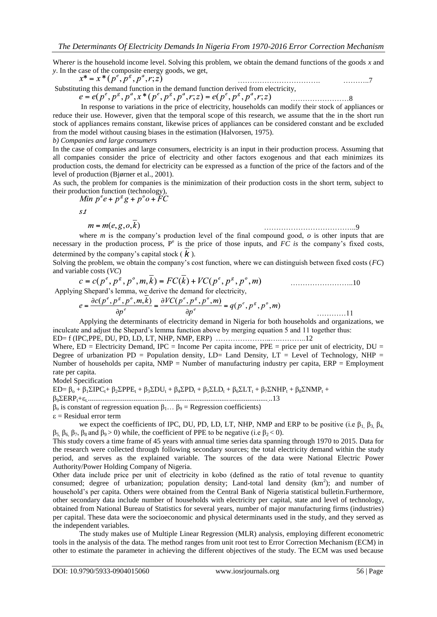Where*r* is the household income level. Solving this problem, we obtain the demand functions of the goods *x* and *y*. In the case of the composite energy goods, we get,<br> $x^* = x^* (p^e, p^g, p^a, r; z)$ 

……………………………. ………..7 Substituting this demand function in the demand function derived from electricity,  $e = e(p^e, p^g, p^a, x^*(p^e, p^g, p^a, r; z) = e(p^e, p^g, p^a, r; z)$ ……………………8

In response to variations in the price of electricity, households can modify their stock of appliances or reduce their use. However, given that the temporal scope of this research, we assume that the in the short run stock of appliances remains constant, likewise prices of appliances can be considered constant and be excluded from the model without causing biases in the estimation (Halvorsen, 1975).

*b) Companies and large consumers* 

In the case of companies and large consumers, electricity is an input in their production process. Assuming that all companies consider the price of electricity and other factors exogenous and that each minimizes its production costs, the demand for electricity can be expressed as a function of the price of the factors and of the level of production (Bjørner et al., 2001).

As such, the problem for companies is the minimization of their production costs in the short term, subject to their production function (technology),

Min 
$$
p^e e + p^g g + p^o o + \overline{F}C
$$

 $s.t$ 

$$
m = m(e, g, o, k)
$$

………………………………..9

where *m* is the company's production level of the final compound good, *o* is other inputs that are necessary in the production process,  $P^e$  is the price of those inputs, and  $FC$  is the company's fixed costs, determined by the company's capital stock  $(k)$ .

Solving the problem, we obtain the company's cost function, where we can distinguish between fixed costs (*FC*) and variable costs (*VC*)

$$
c = c(p^{e}, p^{g}, p^{o}, m, \overline{k}) = FC(\overline{k}) + VC(p^{e}, p^{g}, p^{o}, m)
$$

Applying Shepard's lemma, we derive the demand for electricity,

$$
e = \frac{\partial c(p^e, p^s, p^o, m, \overline{k})}{\partial p^e} = \frac{\partial VC(p^e, p^s, p^o, m)}{\partial p^e} = q(p^e, p^s, p^o, m) \tag{11}
$$

Applying the determinants of electricity demand in Nigeria for both households and organizations, we inculcate and adjust the Shepard's lemma function above by merging equation 5 and 11 together thus: ED= f (IPC,PPE, DU, PD, LD, LT, NHP, NMP, ERP) …………………..….………..12

Where,  $ED = Electricity$  Demand,  $IPC = Income$  Per capita income,  $PPE = price$  per unit of electricity,  $DU =$ Degree of urbanization PD = Population density,  $LD =$  Land Density,  $LT =$  Level of Technology, NHP = Number of households per capita,  $NMP =$  Number of manufacturing industry per capita,  $ERP =$  Employment rate per capita.

Model Specification

 $ED = \beta_0 + \beta_1 \Sigma IPC_t + \beta_2 \Sigma PPE_t + \beta_3 \Sigma DU_t + \beta_4 \Sigma PD_t + \beta_5 \Sigma LD_t + \beta_6 \Sigma LT_t + \beta_7 \Sigma NHP_t + \beta_8 \Sigma NMP_t +$ β9ERPt+t.................................................................................................... ..13  $β<sub>o</sub>$  is constant of regression equation  $β<sub>1</sub>... β<sub>9</sub>$  = Regression coefficients)

 $\varepsilon$  = Residual error term

we expect the coefficients of IPC, DU, PD, LD, LT, NHP, NMP and ERP to be positive (i.e  $\beta_1$ ,  $\beta_3$ ,  $\beta_4$ ,  $β_5$ ,  $β_6$ ,  $β_7$ ,  $β_8$  and  $β_9 > 0$ ) while, the coefficient of PPE to be negative (i.e  $β_2 < 0$ ).

This study covers a time frame of 45 years with annual time series data spanning through 1970 to 2015. Data for the research were collected through following secondary sources; the total electricity demand within the study period, and serves as the explained variable. The sources of the data were National Electric Power Authority/Power Holding Company of Nigeria.

Other data include price per unit of electricity in kobo (defined as the ratio of total revenue to quantity consumed; degree of urbanization; population density; Land-total land density  $(km^2)$ ; and number of household's per capita. Others were obtained from the Central Bank of Nigeria statistical bulletin.Furthermore, other secondary data include number of households with electricity per capital, state and level of technology, obtained from National Bureau of Statistics for several years, number of major manufacturing firms (industries) per capital. These data were the socioeconomic and physical determinants used in the study, and they served as the independent variables.

The study makes use of Multiple Linear Regression (MLR) analysis, employing different econometric tools in the analysis of the data. The method ranges from unit root test to Error Correction Mechanism (ECM) in other to estimate the parameter in achieving the different objectives of the study. The ECM was used because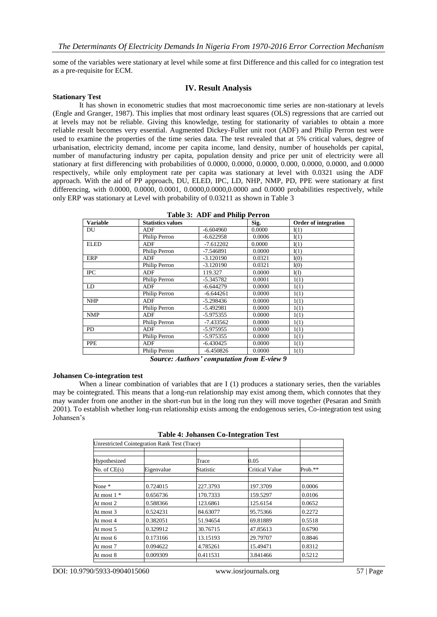some of the variables were stationary at level while some at first Difference and this called for co integration test as a pre-requisite for ECM.

## **IV. Result Analysis**

#### **Stationary Test**

It has shown in econometric studies that most macroeconomic time series are non-stationary at levels (Engle and Granger, 1987). This implies that most ordinary least squares (OLS) regressions that are carried out at levels may not be reliable. Giving this knowledge, testing for stationarity of variables to obtain a more reliable result becomes very essential. Augmented Dickey-Fuller unit root (ADF) and Philip Perron test were used to examine the properties of the time series data. The test revealed that at 5% critical values, degree of urbanisation, electricity demand, income per capita income, land density, number of households per capital, number of manufacturing industry per capita, population density and price per unit of electricity were all stationary at first differencing with probabilities of 0.0000, 0.0000, 0.0000, 0.000, 0.0000, 0.0000, and 0.0000 respectively, while only employment rate per capita was stationary at level with 0.0321 using the ADF approach. With the aid of PP approach, DU, ELED, IPC, LD, NHP, NMP, PD, PPE were stationary at first differencing, with 0.0000, 0.0000, 0.0001, 0.0000,0.0000,0.0000 and 0.0000 probabilities respectively, while only ERP was stationary at Level with probability of 0.03211 as shown in Table 3

| <b>Variable</b>   | <b>Statistics values</b> |             | Sig.   | <b>Order of integration</b> |
|-------------------|--------------------------|-------------|--------|-----------------------------|
| DU                | ADF                      | $-6.604960$ | 0.0000 | I(1)                        |
|                   | Philip Perron            | $-6.622958$ | 0.0006 | I(1)                        |
| <b>ELED</b>       | <b>ADF</b>               | $-7.612202$ | 0.0000 | I(1)                        |
|                   | Philip Perron            | -7.546891   | 0.0000 | I(1)                        |
| <b>ERP</b>        | ADF                      | $-3.120190$ | 0.0321 | I(0)                        |
|                   | Philip Perron            | $-3.120190$ | 0.0321 | I(0)                        |
| $_{\mathrm{IPC}}$ | <b>ADF</b>               | 119.327     | 0.0000 | I(I)                        |
|                   | Philip Perron            | -5.345782   | 0.0001 | 1(1)                        |
| LD                | ADF                      | -6.644279   | 0.0000 | 1(1)                        |
|                   | Philip Perron            | $-6.644261$ | 0.0000 | 1(1)                        |
| <b>NHP</b>        | ADF                      | -5.298436   | 0.0000 | 1(1)                        |
|                   | Philip Perron            | -5.492981   | 0.0000 | 1(1)                        |
| <b>NMP</b>        | ADF                      | -5.975355   | 0.0000 | 1(1)                        |
|                   | Philip Perron            | $-7.433562$ | 0.0000 | 1(1)                        |
| <b>PD</b>         | <b>ADF</b>               | -5.975955   | 0.0000 | 1(1)                        |
|                   | Philip Perron            | -5.975355   | 0.0000 | 1(1)                        |
| <b>PPE</b>        | ADF                      | -6.430425   | 0.0000 | 1(1)                        |
|                   | Philip Perron            | $-6.450826$ | 0.0000 | 1(1)                        |

**Table 3: ADF and Philip Perron**

*Source: Authors' computation from E-view 9*

#### **Johansen Co-integration test**

When a linear combination of variables that are I (1) produces a stationary series, then the variables may be cointegrated. This means that a long-run relationship may exist among them, which connotes that they may wander from one another in the short-run but in the long run they will move together (Pesaran and Smith 2001). To establish whether long-run relationship exists among the endogenous series, Co-integration test using Johansen's

|                |                                                     | $\frac{1}{2}$ |                |           |
|----------------|-----------------------------------------------------|---------------|----------------|-----------|
|                | <b>Unrestricted Cointegration Rank Test (Trace)</b> |               |                |           |
| Hypothesized   |                                                     | Trace         | 0.05           |           |
| No. of $CE(s)$ | Eigenvalue                                          | Statistic     | Critical Value | $Prob.**$ |
| None *         | 0.724015                                            | 227.3793      | 197.3709       | 0.0006    |
| At most $1 *$  | 0.656736                                            | 170.7333      | 159.5297       | 0.0106    |
| At most 2      | 0.588366                                            | 123.6861      | 125.6154       | 0.0652    |
| At most 3      | 0.524231                                            | 84.63077      | 95.75366       | 0.2272    |
| At most 4      | 0.382051                                            | 51.94654      | 69.81889       | 0.5518    |
| At most 5      | 0.329912                                            | 30.76715      | 47.85613       | 0.6790    |
| At most 6      | 0.173166                                            | 13.15193      | 29.79707       | 0.8846    |
| At most 7      | 0.094622                                            | 4.785261      | 15.49471       | 0.8312    |
| At most 8      | 0.009309                                            | 0.411531      | 3.841466       | 0.5212    |
|                |                                                     |               |                |           |

**Table 4: Johansen Co-Integration Test**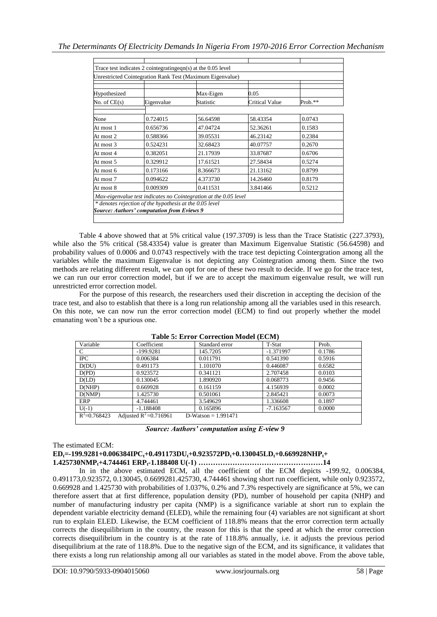|                |            | Unrestricted Cointegration Rank Test (Maximum Eigenvalue)        |                |         |
|----------------|------------|------------------------------------------------------------------|----------------|---------|
| Hypothesized   |            | Max-Eigen                                                        | 0.05           |         |
| No. of $CE(s)$ | Eigenvalue | Statistic                                                        | Critical Value | Prob.** |
|                |            |                                                                  |                |         |
| None           | 0.724015   | 56.64598                                                         | 58.43354       | 0.0743  |
| At most 1      | 0.656736   | 47.04724                                                         | 52.36261       | 0.1583  |
| At most 2      | 0.588366   | 39.05531                                                         | 46.23142       | 0.2384  |
| At most 3      | 0.524231   | 32.68423                                                         | 40.07757       | 0.2670  |
| At most 4      | 0.382051   | 21.17939                                                         | 33.87687       | 0.6706  |
| At most 5      | 0.329912   | 17.61521                                                         | 27.58434       | 0.5274  |
| At most 6      | 0.173166   | 8.366673                                                         | 21.13162       | 0.8799  |
| At most 7      | 0.094622   | 4.373730                                                         | 14.26460       | 0.8179  |
| At most 8      | 0.009309   | 0.411531                                                         | 3.841466       | 0.5212  |
|                |            | Max-eigenvalue test indicates no Cointegration at the 0.05 level |                |         |

Table 4 above showed that at 5% critical value (197.3709) is less than the Trace Statistic (227.3793), while also the 5% critical (58.43354) value is greater than Maximum Eigenvalue Statistic (56.64598) and probability values of 0.0006 and 0.0743 respectively with the trace test depicting Cointergration among all the variables while the maximum Eigenvalue is not depicting any Cointegration among them. Since the two methods are relating different result, we can opt for one of these two result to decide. If we go for the trace test, we can run our error correction model, but if we are to accept the maximum eigenvalue result, we will run unrestricted error correction model.

For the purpose of this research, the researchers used their discretion in accepting the decision of the trace test, and also to establish that there is a long run relationship among all the variables used in this research. On this note, we can now run the error correction model (ECM) to find out properly whether the model emanating won't be a spurious one.

| Variable         | Coefficient               | Standard error        | T-Stat      | Prob.  |  |
|------------------|---------------------------|-----------------------|-------------|--------|--|
|                  | $-199.9281$               | 145.7205              | $-1.371997$ | 0.1786 |  |
| <b>IPC</b>       | 0.006384                  | 0.011791              | 0.541390    | 0.5916 |  |
| D(DU)            | 0.491173                  | 1.101070              | 0.446087    | 0.6582 |  |
| D(PD)            | 0.923572                  | 0.341121              | 2.707458    | 0.0103 |  |
| D(LD)            | 0.130045                  | 1.890920              | 0.068773    | 0.9456 |  |
| D(NHP)           | 0.669928                  | 0.161159              | 4.156939    | 0.0002 |  |
| D(NMP)           | 1.425730                  | 0.501061              | 2.845421    | 0.0073 |  |
| ERP              | 4.744461                  | 3.549629              | 1.336608    | 0.1897 |  |
| $U(-1)$          | $-1.188408$               | 0.165896              | $-7.163567$ | 0.0000 |  |
| $R^2 = 0.768423$ | Adjusted $R^2 = 0.716961$ | D-Watson = $1.991471$ |             |        |  |
|                  |                           |                       |             |        |  |

**Table 5: Error Correction Model (ECM)**

*Source: Authors' computation using E-view 9*

# The estimated ECM:

**EDt=-199.9281+0.006384IPCt+0.491173DUt+0.923572PDt+0.130045LDt+0.669928NHPt+ 1.425730NMPt+4.744461 ERPt-1.188408 U(-1) ……………………………………………14**

In in the above estimated ECM, all the coefficient of the ECM depicts -199.92, 0.006384, 0.491173,0.923572, 0.130045, 0.6699281.425730, 4.744461 showing short run coefficient, while only 0.923572, 0.669928 and 1.425730 with probabilities of 1.037%, 0.2% and 7.3% respectively are significance at 5%, we can therefore assert that at first difference, population density (PD), number of household per capita (NHP) and number of manufacturing industry per capita (NMP) is a significance variable at short run to explain the dependent variable electricity demand (ELED), while the remaining four (4) variables are not significant at short run to explain ELED. Likewise, the ECM coefficient of 118.8% means that the error correction term actually corrects the disequilibrium in the country, the reason for this is that the speed at which the error correction corrects disequilibrium in the country is at the rate of 118.8% annually, i.e. it adjusts the previous period disequilibrium at the rate of 118.8%. Due to the negative sign of the ECM, and its significance, it validates that there exists a long run relationship among all our variables as stated in the model above. From the above table,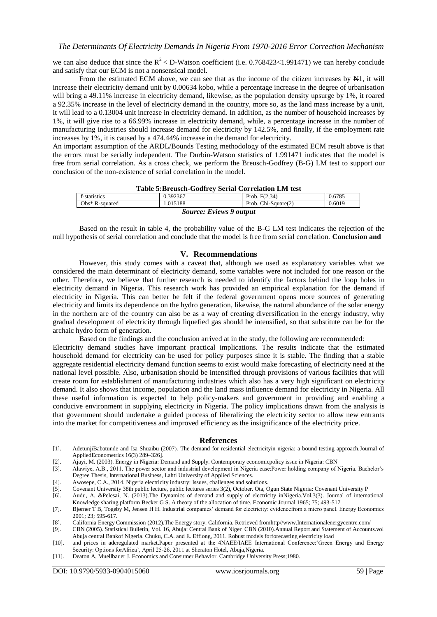we can also deduce that since the  $R^2 < D$ -Watson coefficient (i.e. 0.768423<1.991471) we can hereby conclude and satisfy that our ECM is not a nonsensical model.

From the estimated ECM above, we can see that as the income of the citizen increases by  $H_1$ , it will increase their electricity demand unit by 0.00634 kobo, while a percentage increase in the degree of urbanisation will bring a 49.11% increase in electricity demand, likewise, as the population density upsurge by 1%, it roared a 92.35% increase in the level of electricity demand in the country, more so, as the land mass increase by a unit, it will lead to a 0.13004 unit increase in electricity demand. In addition, as the number of household increases by 1%, it will give rise to a 66.99% increase in electricity demand, while, a percentage increase in the number of manufacturing industries should increase demand for electricity by 142.5%, and finally, if the employment rate increases by 1%, it is caused by a 474.44% increase in the demand for electricity.

An important assumption of the ARDL/Bounds Testing methodology of the estimated ECM result above is that the errors must be serially independent. The Durbin-Watson statistics of 1.991471 indicates that the model is free from serial correlation. As a cross check, we perform the Breusch-Godfrey (B-G) LM test to support our conclusion of the non-existence of serial correlation in the model.

### **Table 5:Breusch-Godfrey Serial Correlation LM test**

| TANIV VIDI VANUI "QUALLET NULIAI "QULLUMUNI LIII" VUN |          |                     |        |  |  |
|-------------------------------------------------------|----------|---------------------|--------|--|--|
| f-statistics                                          | 0.392367 | Prob. $F(2.34)$     | 0.6785 |  |  |
| Obs* R-squared                                        | 1.015188 | Prob. Chi-Square(2) | 0.6019 |  |  |
| <b>Source: Eviews 9 output</b>                        |          |                     |        |  |  |

Based on the result in table 4, the probability value of the B-G LM test indicates the rejection of the null hypothesis of serial correlation and conclude that the model is free from serial correlation. **Conclusion and** 

#### **V. Recommendations**

However, this study comes with a caveat that, although we used as explanatory variables what we considered the main determinant of electricity demand, some variables were not included for one reason or the other. Therefore, we believe that further research is needed to identify the factors behind the loop holes in electricity demand in Nigeria. This research work has provided an empirical explanation for the demand if electricity in Nigeria. This can better be felt if the federal government opens more sources of generating electricity and limits its dependence on the hydro generation, likewise, the natural abundance of the solar energy in the northern are of the country can also be as a way of creating diversification in the energy industry, why gradual development of electricity through liquefied gas should be intensified, so that substitute can be for the archaic hydro form of generation.

Based on the findings and the conclusion arrived at in the study, the following are recommended:

Electricity demand studies have important practical implications. The results indicate that the estimated household demand for electricity can be used for policy purposes since it is stable. The finding that a stable aggregate residential electricity demand function seems to exist would make forecasting of electricity need at the national level possible. Also, urbanisation should be intensified through provisions of various facilities that will create room for establishment of manufacturing industries which also has a very high significant on electricity demand. It also shows that income, population and the land mass influence demand for electricity in Nigeria. All these useful information is expected to help policy-makers and government in providing and enabling a conducive environment in supplying electricity in Nigeria. The policy implications drawn from the analysis is that government should undertake a guided process of liberalizing the electricity sector to allow new entrants into the market for competitiveness and improved efficiency as the insignificance of the electricity price.

#### **References**

- [1]. AdetunjiBabatunde and Isa Shuaibu (2007). The demand for residential electricityin nigeria: a bound testing approach.Journal of AppliedEconometrics 16(3) 289–326].
- [2]. Ajayi, M. (2003). Energy in Nigeria: Demand and Supply. Contemporary economicpolicy issue in Nigeria: CBN
- [3]. Alawiye, A.B., 2011. The power sector and industrial development in Nigeria case:Power holding company of Nigeria. Bachelor's Degree Thesis, International Business, Lahti University of Applied Sciences.
- [4]. Awosepe, C.A., 2014. Nigeria electricity industry: Issues, challenges and solutions.
- [5]. Covenant University 38th public lecture, public lectures series 3(2), October. Ota, Ogun State Nigeria: Covenant University P
- [6]. Audu, A. &Pelesai, N. (2013).The Dynamics of demand and supply of electricity inNigeria.Vol.3(3). Journal of international
- Knowledge sharing platform Becker G S. A theory of the allocation of time. Economic Journal 1965; 75; 493-517 [7]. Bjørner T B, Togeby M, Jensen H H. Industrial companies' demand for electricity: evidencefrom a micro panel. Energy Economics
- 2001; 23; 595-617.
- [8]. California Energy Commission (2012).The Energy story. California. Retrieved fromhttp//www.Internationalenergycentre.com/
- [9]. CBN (2005). Statistical Bulletin, Vol. 16, Abuja: Central Bank of Niger CBN (2010).Annual Report and Statement of Accounts.vol Abuja central Bankof Nigeria. Chuku, C.A. and E. Effiong, 2011. Robust models forforecasting electricity load
- [10]. and prices in aderegulated market.Paper presented at the 4NAEE/IAEE International Conference:'Green Energy and Energy Security: Options forAfrica', April 25-26, 2011 at Sheraton Hotel, Abuja,Nigeria.
- [11]. Deaton A, Muellbauer J. Economics and Consumer Behavior. Cambridge University Press;1980.